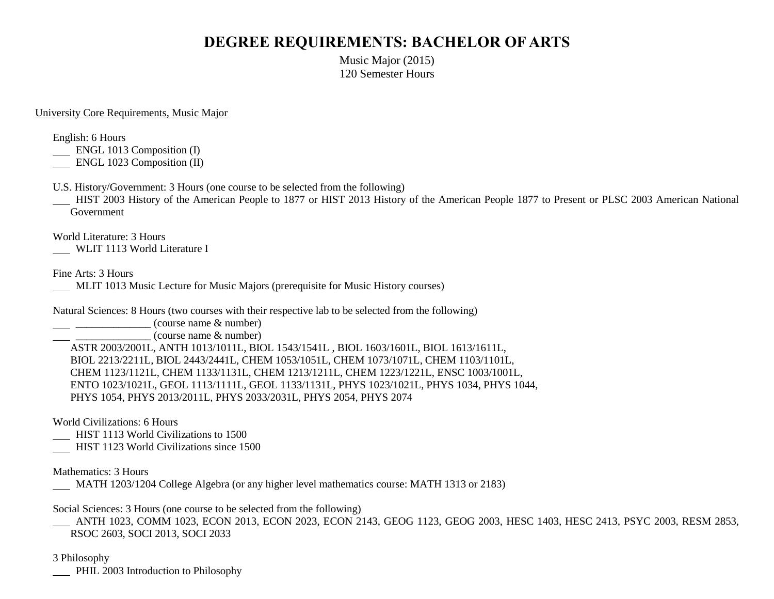## **DEGREE REQUIREMENTS: BACHELOR OF ARTS**

Music Major (2015) 120 Semester Hours

## University Core Requirements, Music Major

English: 6 Hours

ENGL 1013 Composition (I)

ENGL 1023 Composition (II)

U.S. History/Government: 3 Hours (one course to be selected from the following)

 HIST 2003 History of the American People to 1877 or HIST 2013 History of the American People 1877 to Present or PLSC 2003 American National Government

World Literature: 3 Hours

WLIT 1113 World Literature I

Fine Arts: 3 Hours

MLIT 1013 Music Lecture for Music Majors (prerequisite for Music History courses)

Natural Sciences: 8 Hours (two courses with their respective lab to be selected from the following)

 $\frac{1}{2}$   $\frac{1}{2}$   $\frac{1}{2}$   $\frac{1}{2}$   $\frac{1}{2}$   $\frac{1}{2}$   $\frac{1}{2}$   $\frac{1}{2}$   $\frac{1}{2}$   $\frac{1}{2}$   $\frac{1}{2}$   $\frac{1}{2}$   $\frac{1}{2}$   $\frac{1}{2}$   $\frac{1}{2}$   $\frac{1}{2}$   $\frac{1}{2}$   $\frac{1}{2}$   $\frac{1}{2}$   $\frac{1}{2}$   $\frac{1}{2}$   $\frac{1}{2}$ 

\_\_\_\_\_\_\_\_\_\_\_\_\_\_ (course name & number)

ASTR 2003/2001L, ANTH 1013/1011L, BIOL 1543/1541L , BIOL 1603/1601L, BIOL 1613/1611L, BIOL 2213/2211L, BIOL 2443/2441L, CHEM 1053/1051L, CHEM 1073/1071L, CHEM 1103/1101L, CHEM 1123/1121L, CHEM 1133/1131L, CHEM 1213/1211L, CHEM 1223/1221L, ENSC 1003/1001L, ENTO 1023/1021L, GEOL 1113/1111L, GEOL 1133/1131L, PHYS 1023/1021L, PHYS 1034, PHYS 1044, PHYS 1054, PHYS 2013/2011L, PHYS 2033/2031L, PHYS 2054, PHYS 2074

World Civilizations: 6 Hours

HIST 1113 World Civilizations to 1500

HIST 1123 World Civilizations since 1500

Mathematics: 3 Hours

MATH 1203/1204 College Algebra (or any higher level mathematics course: MATH 1313 or 2183)

Social Sciences: 3 Hours (one course to be selected from the following)

 ANTH 1023, COMM 1023, ECON 2013, ECON 2023, ECON 2143, GEOG 1123, GEOG 2003, HESC 1403, HESC 2413, PSYC 2003, RESM 2853, RSOC 2603, SOCI 2013, SOCI 2033

3 Philosophy

**PHIL 2003 Introduction to Philosophy**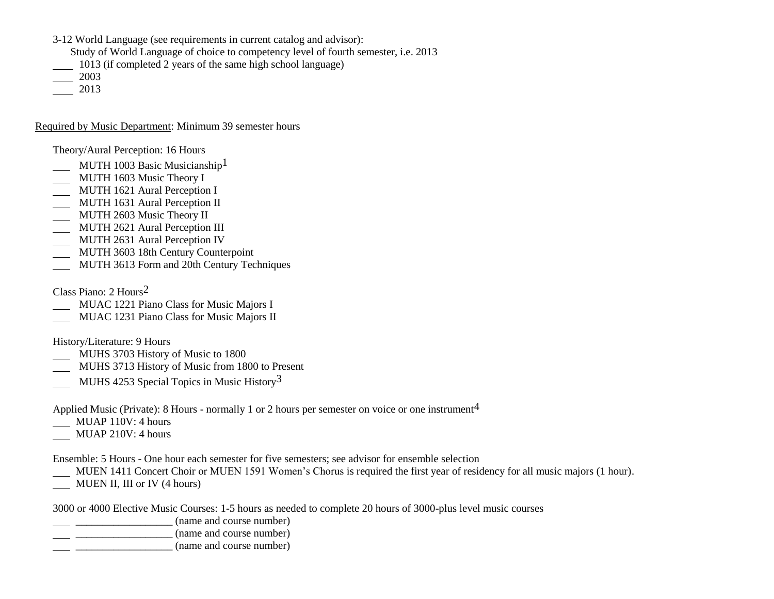3-12 World Language (see requirements in current catalog and advisor):

Study of World Language of choice to competency level of fourth semester, i.e. 2013

1013 (if completed 2 years of the same high school language)

2003

2013

Required by Music Department: Minimum 39 semester hours

Theory/Aural Perception: 16 Hours

- MUTH 1003 Basic Musicianship<sup>1</sup>
- **MUTH 1603 Music Theory I**
- **MUTH 1621 Aural Perception I**
- MUTH 1631 Aural Perception II
- MUTH 2603 Music Theory II
- **MUTH 2621 Aural Perception III**
- **MUTH 2631 Aural Perception IV**
- **MUTH 3603 18th Century Counterpoint**
- MUTH 3613 Form and 20th Century Techniques

Class Piano: 2 Hours2

- MUAC 1221 Piano Class for Music Majors I
- MUAC 1231 Piano Class for Music Majors II

History/Literature: 9 Hours

- MUHS 3703 History of Music to 1800
- MUHS 3713 History of Music from 1800 to Present MUHS 4253 Special Topics in Music History<sup>3</sup>

Applied Music (Private): 8 Hours - normally 1 or 2 hours per semester on voice or one instrument<sup>4</sup>

- **MUAP 110V: 4 hours**
- MUAP 210V: 4 hours

Ensemble: 5 Hours - One hour each semester for five semesters; see advisor for ensemble selection

- MUEN 1411 Concert Choir or MUEN 1591 Women's Chorus is required the first year of residency for all music majors (1 hour).
- MUEN II, III or IV (4 hours)

3000 or 4000 Elective Music Courses: 1-5 hours as needed to complete 20 hours of 3000-plus level music courses

\_\_\_\_\_\_\_\_\_\_\_\_\_\_\_\_\_\_ (name and course number)

- $\frac{1}{2}$   $\frac{1}{2}$   $\frac{1}{2}$   $\frac{1}{2}$   $\frac{1}{2}$   $\frac{1}{2}$   $\frac{1}{2}$   $\frac{1}{2}$   $\frac{1}{2}$   $\frac{1}{2}$   $\frac{1}{2}$   $\frac{1}{2}$   $\frac{1}{2}$   $\frac{1}{2}$   $\frac{1}{2}$   $\frac{1}{2}$   $\frac{1}{2}$   $\frac{1}{2}$   $\frac{1}{2}$   $\frac{1}{2}$   $\frac{1}{2}$   $\frac{1}{2}$
- $\frac{1}{2}$   $\frac{1}{2}$   $\frac{1}{2}$   $\frac{1}{2}$   $\frac{1}{2}$   $\frac{1}{2}$   $\frac{1}{2}$   $\frac{1}{2}$   $\frac{1}{2}$   $\frac{1}{2}$   $\frac{1}{2}$   $\frac{1}{2}$   $\frac{1}{2}$   $\frac{1}{2}$   $\frac{1}{2}$   $\frac{1}{2}$   $\frac{1}{2}$   $\frac{1}{2}$   $\frac{1}{2}$   $\frac{1}{2}$   $\frac{1}{2}$   $\frac{1}{2}$